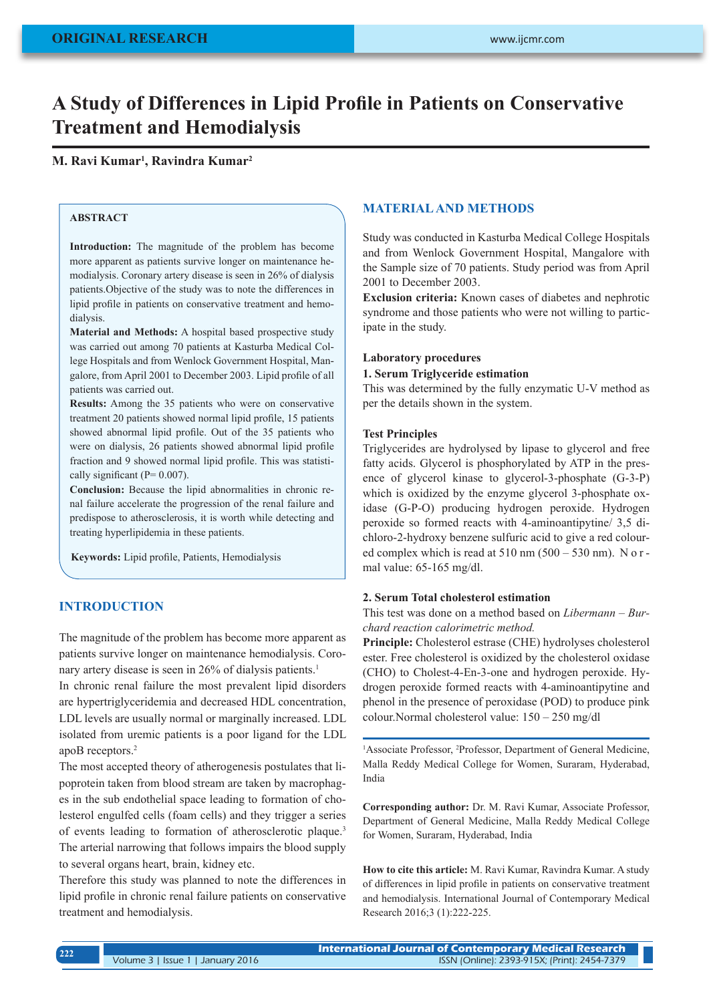# **A Study of Differences in Lipid Profile in Patients on Conservative Treatment and Hemodialysis**

## **M. Ravi Kumar<sup>1</sup> , Ravindra Kumar<sup>2</sup>**

## **ABSTRACT**

**Introduction:** The magnitude of the problem has become more apparent as patients survive longer on maintenance hemodialysis. Coronary artery disease is seen in 26% of dialysis patients.Objective of the study was to note the differences in lipid profile in patients on conservative treatment and hemodialysis.

**Material and Methods:** A hospital based prospective study was carried out among 70 patients at Kasturba Medical College Hospitals and from Wenlock Government Hospital, Mangalore, from April 2001 to December 2003. Lipid profile of all patients was carried out.

**Results:** Among the 35 patients who were on conservative treatment 20 patients showed normal lipid profile, 15 patients showed abnormal lipid profile. Out of the 35 patients who were on dialysis, 26 patients showed abnormal lipid profile fraction and 9 showed normal lipid profile. This was statistically significant ( $P= 0.007$ ).

**Conclusion:** Because the lipid abnormalities in chronic renal failure accelerate the progression of the renal failure and predispose to atherosclerosis, it is worth while detecting and treating hyperlipidemia in these patients.

**Keywords:** Lipid profile, Patients, Hemodialysis

# **INTRODUCTION**

The magnitude of the problem has become more apparent as patients survive longer on maintenance hemodialysis. Coronary artery disease is seen in 26% of dialysis patients.<sup>1</sup>

In chronic renal failure the most prevalent lipid disorders are hypertriglyceridemia and decreased HDL concentration, LDL levels are usually normal or marginally increased. LDL isolated from uremic patients is a poor ligand for the LDL apoB receptors.2

The most accepted theory of atherogenesis postulates that lipoprotein taken from blood stream are taken by macrophages in the sub endothelial space leading to formation of cholesterol engulfed cells (foam cells) and they trigger a series of events leading to formation of atherosclerotic plaque.3 The arterial narrowing that follows impairs the blood supply to several organs heart, brain, kidney etc.

Therefore this study was planned to note the differences in lipid profile in chronic renal failure patients on conservative treatment and hemodialysis.

## **MATERIAL AND METHODS**

Study was conducted in Kasturba Medical College Hospitals and from Wenlock Government Hospital, Mangalore with the Sample size of 70 patients. Study period was from April 2001 to December 2003.

**Exclusion criteria:** Known cases of diabetes and nephrotic syndrome and those patients who were not willing to participate in the study.

### **Laboratory procedures**

#### **1. Serum Triglyceride estimation**

This was determined by the fully enzymatic U-V method as per the details shown in the system.

#### **Test Principles**

Triglycerides are hydrolysed by lipase to glycerol and free fatty acids. Glycerol is phosphorylated by ATP in the presence of glycerol kinase to glycerol-3-phosphate (G-3-P) which is oxidized by the enzyme glycerol 3-phosphate oxidase (G-P-O) producing hydrogen peroxide. Hydrogen peroxide so formed reacts with 4-aminoantipytine/ 3,5 dichloro-2-hydroxy benzene sulfuric acid to give a red coloured complex which is read at  $510 \text{ nm}$  ( $500 - 530 \text{ nm}$ ). N o r mal value: 65-165 mg/dl.

#### **2. Serum Total cholesterol estimation**

This test was done on a method based on *Libermann – Burchard reaction calorimetric method.*

**Principle:** Cholesterol estrase (CHE) hydrolyses cholesterol ester. Free cholesterol is oxidized by the cholesterol oxidase (CHO) to Cholest-4-En-3-one and hydrogen peroxide. Hydrogen peroxide formed reacts with 4-aminoantipytine and phenol in the presence of peroxidase (POD) to produce pink colour.Normal cholesterol value: 150 – 250 mg/dl

<sup>1</sup>Associate Professor, <sup>2</sup>Professor, Department of General Medicine, Malla Reddy Medical College for Women, Suraram, Hyderabad, India

**Corresponding author:** Dr. M. Ravi Kumar, Associate Professor, Department of General Medicine, Malla Reddy Medical College for Women, Suraram, Hyderabad, India

**How to cite this article:** M. Ravi Kumar, Ravindra Kumar. A study of differences in lipid profile in patients on conservative treatment and hemodialysis. International Journal of Contemporary Medical Research 2016;3 (1):222-225.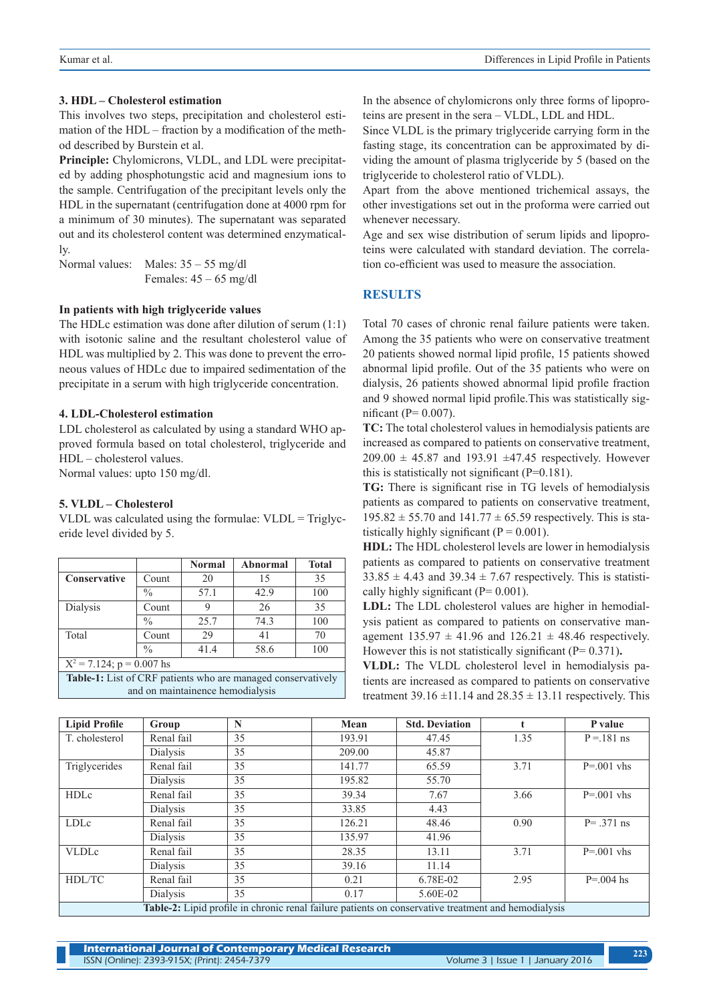#### **3. HDL – Cholesterol estimation**

This involves two steps, precipitation and cholesterol estimation of the HDL – fraction by a modification of the method described by Burstein et al.

**Principle:** Chylomicrons, VLDL, and LDL were precipitated by adding phosphotungstic acid and magnesium ions to the sample. Centrifugation of the precipitant levels only the HDL in the supernatant (centrifugation done at 4000 rpm for a minimum of 30 minutes). The supernatant was separated out and its cholesterol content was determined enzymatically.

Normal values: Males: 35 – 55 mg/dl Females:  $45 - 65$  mg/dl

#### **In patients with high triglyceride values**

The HDLc estimation was done after dilution of serum (1:1) with isotonic saline and the resultant cholesterol value of HDL was multiplied by 2. This was done to prevent the erroneous values of HDLc due to impaired sedimentation of the precipitate in a serum with high triglyceride concentration.

#### **4. LDL-Cholesterol estimation**

LDL cholesterol as calculated by using a standard WHO approved formula based on total cholesterol, triglyceride and HDL – cholesterol values.

Normal values: upto 150 mg/dl.

### **5. VLDL – Cholesterol**

VLDL was calculated using the formulae:  $VLDL = Triglyc$ eride level divided by 5.

|                                                              |               | Normal | Abnormal | <b>Total</b> |  |  |  |
|--------------------------------------------------------------|---------------|--------|----------|--------------|--|--|--|
| <b>Conservative</b>                                          | Count         | 20     | 15       | 35           |  |  |  |
|                                                              | $\frac{0}{0}$ | 57.1   | 42.9     | 100          |  |  |  |
| Dialysis                                                     | Count         | 9      | 26       | 35           |  |  |  |
|                                                              | $\frac{0}{0}$ | 25.7   | 74.3     | 100          |  |  |  |
| Total                                                        | Count         | 29     | 41       | 70           |  |  |  |
|                                                              | $\frac{0}{0}$ | 41.4   | 58.6     | 100          |  |  |  |
| $X^2 = 7.124$ ; p = 0.007 hs                                 |               |        |          |              |  |  |  |
| Table-1: List of CRF patients who are managed conservatively |               |        |          |              |  |  |  |
| and on maintainence hemodialysis                             |               |        |          |              |  |  |  |

In the absence of chylomicrons only three forms of lipoproteins are present in the sera – VLDL, LDL and HDL.

Since VLDL is the primary triglyceride carrying form in the fasting stage, its concentration can be approximated by dividing the amount of plasma triglyceride by 5 (based on the triglyceride to cholesterol ratio of VLDL).

Apart from the above mentioned trichemical assays, the other investigations set out in the proforma were carried out whenever necessary.

Age and sex wise distribution of serum lipids and lipoproteins were calculated with standard deviation. The correlation co-efficient was used to measure the association.

## **RESULTS**

Total 70 cases of chronic renal failure patients were taken. Among the 35 patients who were on conservative treatment 20 patients showed normal lipid profile, 15 patients showed abnormal lipid profile. Out of the 35 patients who were on dialysis, 26 patients showed abnormal lipid profile fraction and 9 showed normal lipid profile.This was statistically significant ( $P= 0.007$ ).

**TC:** The total cholesterol values in hemodialysis patients are increased as compared to patients on conservative treatment,  $209.00 \pm 45.87$  and 193.91  $\pm 47.45$  respectively. However this is statistically not significant  $(P=0.181)$ .

**TG:** There is significant rise in TG levels of hemodialysis patients as compared to patients on conservative treatment,  $195.82 \pm 55.70$  and  $141.77 \pm 65.59$  respectively. This is statistically highly significant ( $P = 0.001$ ).

**HDL:** The HDL cholesterol levels are lower in hemodialysis patients as compared to patients on conservative treatment  $33.85 \pm 4.43$  and  $39.34 \pm 7.67$  respectively. This is statistically highly significant ( $P= 0.001$ ).

**LDL:** The LDL cholesterol values are higher in hemodialysis patient as compared to patients on conservative management  $135.97 \pm 41.96$  and  $126.21 \pm 48.46$  respectively. However this is not statistically significant (P= 0.371)**.**

**VLDL:** The VLDL cholesterol level in hemodialysis patients are increased as compared to patients on conservative treatment 39.16  $\pm$ 11.14 and 28.35  $\pm$  13.11 respectively. This

| <b>Lipid Profile</b>                                                                                | Group      | N  | Mean   | <b>Std. Deviation</b> |      | P value       |  |  |
|-----------------------------------------------------------------------------------------------------|------------|----|--------|-----------------------|------|---------------|--|--|
| T. cholesterol                                                                                      | Renal fail | 35 | 193.91 | 47.45                 | 1.35 | $P = 181$ ns  |  |  |
|                                                                                                     | Dialysis   | 35 | 209.00 | 45.87                 |      |               |  |  |
| Triglycerides                                                                                       | Renal fail | 35 | 141.77 | 65.59                 | 3.71 | $P = 001$ vhs |  |  |
|                                                                                                     | Dialysis   | 35 | 195.82 | 55.70                 |      |               |  |  |
| <b>HDLc</b>                                                                                         | Renal fail | 35 | 39.34  | 7.67                  | 3.66 | $P = 001$ vhs |  |  |
|                                                                                                     | Dialysis   | 35 | 33.85  | 4.43                  |      |               |  |  |
| LDLc                                                                                                | Renal fail | 35 | 126.21 | 48.46                 | 0.90 | $P = .371$ ns |  |  |
|                                                                                                     | Dialysis   | 35 | 135.97 | 41.96                 |      |               |  |  |
| <b>VLDLc</b>                                                                                        | Renal fail | 35 | 28.35  | 13.11                 | 3.71 | $P = 001$ vhs |  |  |
|                                                                                                     | Dialysis   | 35 | 39.16  | 11.14                 |      |               |  |  |
| HDL/TC                                                                                              | Renal fail | 35 | 0.21   | 6.78E-02              | 2.95 | $P = 0.04$ hs |  |  |
|                                                                                                     | Dialysis   | 35 | 0.17   | 5.60E-02              |      |               |  |  |
| Table-2: Lipid profile in chronic renal failure patients on conservative treatment and hemodialysis |            |    |        |                       |      |               |  |  |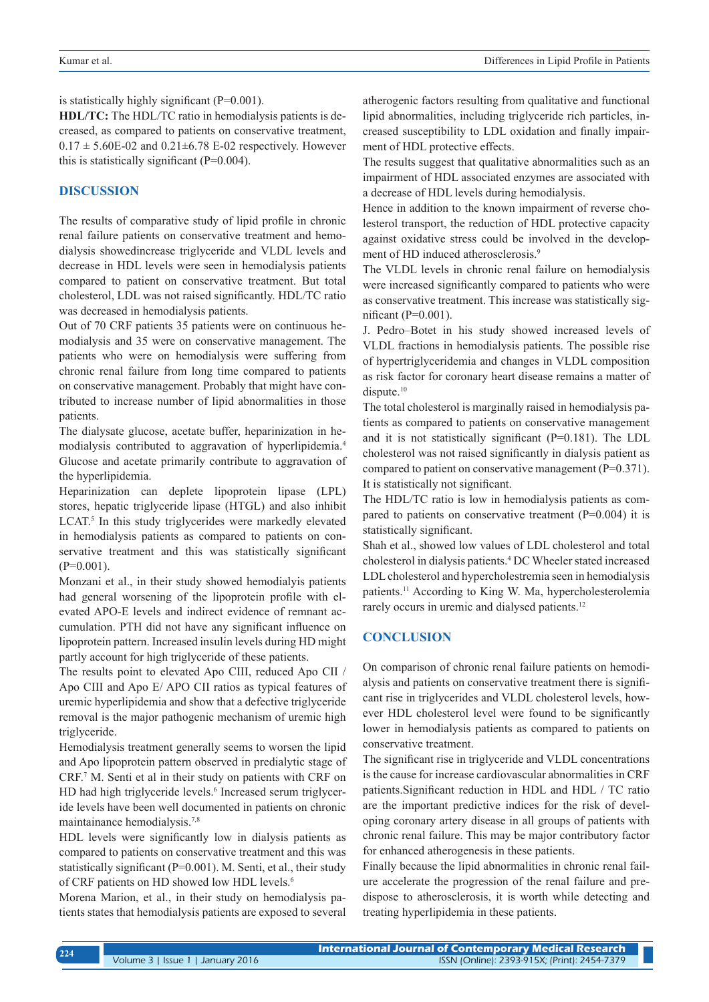is statistically highly significant (P=0.001).

**HDL/TC:** The HDL/TC ratio in hemodialysis patients is decreased, as compared to patients on conservative treatment,  $0.17 \pm 5.60E - 02$  and  $0.21 \pm 6.78$  E-02 respectively. However this is statistically significant (P=0.004).

## **DISCUSSION**

The results of comparative study of lipid profile in chronic renal failure patients on conservative treatment and hemodialysis showedincrease triglyceride and VLDL levels and decrease in HDL levels were seen in hemodialysis patients compared to patient on conservative treatment. But total cholesterol, LDL was not raised significantly. HDL/TC ratio was decreased in hemodialysis patients.

Out of 70 CRF patients 35 patients were on continuous hemodialysis and 35 were on conservative management. The patients who were on hemodialysis were suffering from chronic renal failure from long time compared to patients on conservative management. Probably that might have contributed to increase number of lipid abnormalities in those patients.

The dialysate glucose, acetate buffer, heparinization in hemodialysis contributed to aggravation of hyperlipidemia.4 Glucose and acetate primarily contribute to aggravation of the hyperlipidemia.

Heparinization can deplete lipoprotein lipase (LPL) stores, hepatic triglyceride lipase (HTGL) and also inhibit LCAT.<sup>5</sup> In this study triglycerides were markedly elevated in hemodialysis patients as compared to patients on conservative treatment and this was statistically significant  $(P=0.001)$ .

Monzani et al., in their study showed hemodialyis patients had general worsening of the lipoprotein profile with elevated APO-E levels and indirect evidence of remnant accumulation. PTH did not have any significant influence on lipoprotein pattern. Increased insulin levels during HD might partly account for high triglyceride of these patients.

The results point to elevated Apo CIII, reduced Apo CII / Apo CIII and Apo E/ APO CII ratios as typical features of uremic hyperlipidemia and show that a defective triglyceride removal is the major pathogenic mechanism of uremic high triglyceride.

Hemodialysis treatment generally seems to worsen the lipid and Apo lipoprotein pattern observed in predialytic stage of CRF.7 M. Senti et al in their study on patients with CRF on HD had high triglyceride levels.<sup>6</sup> Increased serum triglyceride levels have been well documented in patients on chronic maintainance hemodialysis.7,8

HDL levels were significantly low in dialysis patients as compared to patients on conservative treatment and this was statistically significant (P=0.001). M. Senti, et al., their study of CRF patients on HD showed low HDL levels.<sup>6</sup>

Morena Marion, et al., in their study on hemodialysis patients states that hemodialysis patients are exposed to several atherogenic factors resulting from qualitative and functional lipid abnormalities, including triglyceride rich particles, increased susceptibility to LDL oxidation and finally impairment of HDL protective effects.

The results suggest that qualitative abnormalities such as an impairment of HDL associated enzymes are associated with a decrease of HDL levels during hemodialysis.

Hence in addition to the known impairment of reverse cholesterol transport, the reduction of HDL protective capacity against oxidative stress could be involved in the development of HD induced atherosclerosis.<sup>9</sup>

The VLDL levels in chronic renal failure on hemodialysis were increased significantly compared to patients who were as conservative treatment. This increase was statistically significant (P=0.001).

J. Pedro–Botet in his study showed increased levels of VLDL fractions in hemodialysis patients. The possible rise of hypertriglyceridemia and changes in VLDL composition as risk factor for coronary heart disease remains a matter of dispute.<sup>10</sup>

The total cholesterol is marginally raised in hemodialysis patients as compared to patients on conservative management and it is not statistically significant (P=0.181). The LDL cholesterol was not raised significantly in dialysis patient as compared to patient on conservative management (P=0.371). It is statistically not significant.

The HDL/TC ratio is low in hemodialysis patients as compared to patients on conservative treatment (P=0.004) it is statistically significant.

Shah et al., showed low values of LDL cholesterol and total cholesterol in dialysis patients.4 DC Wheeler stated increased LDL cholesterol and hypercholestremia seen in hemodialysis patients.<sup>11</sup> According to King W. Ma, hypercholesterolemia rarely occurs in uremic and dialysed patients.<sup>12</sup>

## **CONCLUSION**

On comparison of chronic renal failure patients on hemodialysis and patients on conservative treatment there is significant rise in triglycerides and VLDL cholesterol levels, however HDL cholesterol level were found to be significantly lower in hemodialysis patients as compared to patients on conservative treatment.

The significant rise in triglyceride and VLDL concentrations is the cause for increase cardiovascular abnormalities in CRF patients.Significant reduction in HDL and HDL / TC ratio are the important predictive indices for the risk of developing coronary artery disease in all groups of patients with chronic renal failure. This may be major contributory factor for enhanced atherogenesis in these patients.

Finally because the lipid abnormalities in chronic renal failure accelerate the progression of the renal failure and predispose to atherosclerosis, it is worth while detecting and treating hyperlipidemia in these patients.